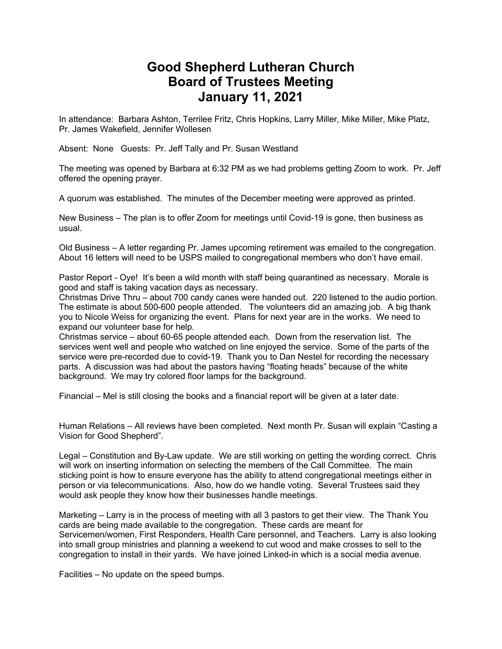## **Good Shepherd Lutheran Church Board of Trustees Meeting January 11, 2021**

In attendance: Barbara Ashton, Terrilee Fritz, Chris Hopkins, Larry Miller, Mike Miller, Mike Platz, Pr. James Wakefield, Jennifer Wollesen

Absent: None Guests: Pr. Jeff Tally and Pr. Susan Westland

The meeting was opened by Barbara at 6:32 PM as we had problems getting Zoom to work. Pr. Jeff offered the opening prayer.

A quorum was established. The minutes of the December meeting were approved as printed.

New Business – The plan is to offer Zoom for meetings until Covid-19 is gone, then business as usual.

Old Business – A letter regarding Pr. James upcoming retirement was emailed to the congregation. About 16 letters will need to be USPS mailed to congregational members who don't have email.

Pastor Report - Oye! It's been a wild month with staff being quarantined as necessary. Morale is good and staff is taking vacation days as necessary.

Christmas Drive Thru – about 700 candy canes were handed out. 220 listened to the audio portion. The estimate is about 500-600 people attended. The volunteers did an amazing job. A big thank you to Nicole Weiss for organizing the event. Plans for next year are in the works. We need to expand our volunteer base for help.

Christmas service – about 60-65 people attended each. Down from the reservation list. The services went well and people who watched on line enjoyed the service. Some of the parts of the service were pre-recorded due to covid-19. Thank you to Dan Nestel for recording the necessary parts. A discussion was had about the pastors having "floating heads" because of the white background. We may try colored floor lamps for the background.

Financial – Mel is still closing the books and a financial report will be given at a later date.

Human Relations – All reviews have been completed. Next month Pr. Susan will explain "Casting a Vision for Good Shepherd".

Legal – Constitution and By-Law update. We are still working on getting the wording correct. Chris will work on inserting information on selecting the members of the Call Committee. The main sticking point is how to ensure everyone has the ability to attend congregational meetings either in person or via telecommunications. Also, how do we handle voting. Several Trustees said they would ask people they know how their businesses handle meetings.

Marketing – Larry is in the process of meeting with all 3 pastors to get their view. The Thank You cards are being made available to the congregation. These cards are meant for Servicemen/women, First Responders, Health Care personnel, and Teachers. Larry is also looking into small group ministries and planning a weekend to cut wood and make crosses to sell to the congregation to install in their yards. We have joined Linked-in which is a social media avenue.

Facilities – No update on the speed bumps.